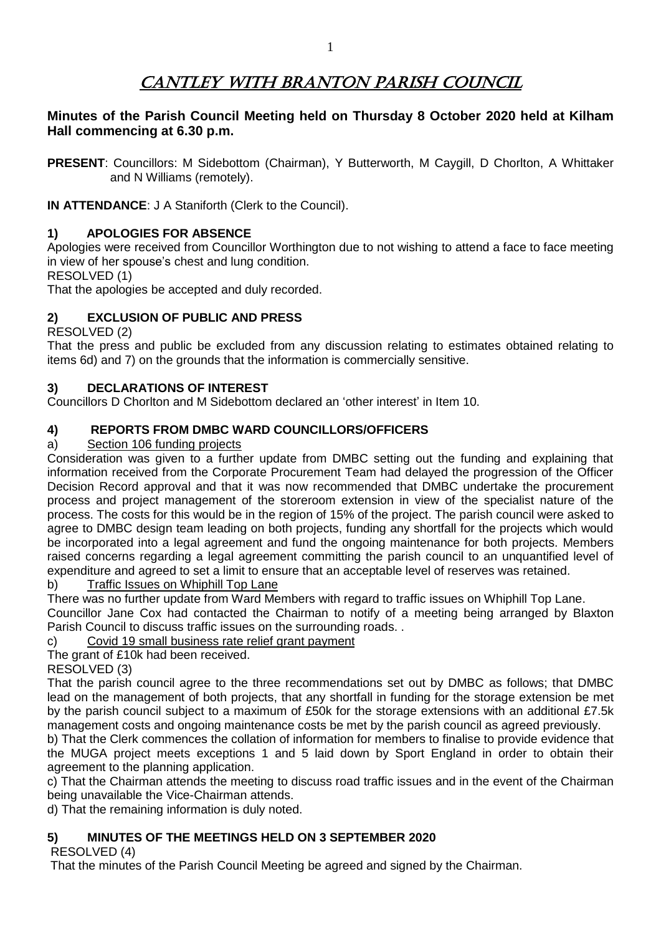# CANTLEY WITH BRANTON PARISH COUNCIL

## **Minutes of the Parish Council Meeting held on Thursday 8 October 2020 held at Kilham Hall commencing at 6.30 p.m.**

**PRESENT**: Councillors: M Sidebottom (Chairman), Y Butterworth, M Caygill, D Chorlton, A Whittaker and N Williams (remotely).

**IN ATTENDANCE**: J A Staniforth (Clerk to the Council).

## **1) APOLOGIES FOR ABSENCE**

Apologies were received from Councillor Worthington due to not wishing to attend a face to face meeting in view of her spouse's chest and lung condition.

RESOLVED (1)

That the apologies be accepted and duly recorded.

## **2) EXCLUSION OF PUBLIC AND PRESS**

#### RESOLVED (2)

That the press and public be excluded from any discussion relating to estimates obtained relating to items 6d) and 7) on the grounds that the information is commercially sensitive.

## **3) DECLARATIONS OF INTEREST**

Councillors D Chorlton and M Sidebottom declared an 'other interest' in Item 10.

## **4) REPORTS FROM DMBC WARD COUNCILLORS/OFFICERS**

## a) Section 106 funding projects

Consideration was given to a further update from DMBC setting out the funding and explaining that information received from the Corporate Procurement Team had delayed the progression of the Officer Decision Record approval and that it was now recommended that DMBC undertake the procurement process and project management of the storeroom extension in view of the specialist nature of the process. The costs for this would be in the region of 15% of the project. The parish council were asked to agree to DMBC design team leading on both projects, funding any shortfall for the projects which would be incorporated into a legal agreement and fund the ongoing maintenance for both projects. Members raised concerns regarding a legal agreement committing the parish council to an unquantified level of expenditure and agreed to set a limit to ensure that an acceptable level of reserves was retained.

#### b) Traffic Issues on Whiphill Top Lane

There was no further update from Ward Members with regard to traffic issues on Whiphill Top Lane.

Councillor Jane Cox had contacted the Chairman to notify of a meeting being arranged by Blaxton Parish Council to discuss traffic issues on the surrounding roads. .

c) Covid 19 small business rate relief grant payment

The grant of £10k had been received.

RESOLVED (3)

That the parish council agree to the three recommendations set out by DMBC as follows; that DMBC lead on the management of both projects, that any shortfall in funding for the storage extension be met by the parish council subject to a maximum of £50k for the storage extensions with an additional £7.5k management costs and ongoing maintenance costs be met by the parish council as agreed previously.

b) That the Clerk commences the collation of information for members to finalise to provide evidence that the MUGA project meets exceptions 1 and 5 laid down by Sport England in order to obtain their agreement to the planning application.

c) That the Chairman attends the meeting to discuss road traffic issues and in the event of the Chairman being unavailable the Vice-Chairman attends.

d) That the remaining information is duly noted.

## **5) MINUTES OF THE MEETINGS HELD ON 3 SEPTEMBER 2020**

RESOLVED (4)

That the minutes of the Parish Council Meeting be agreed and signed by the Chairman.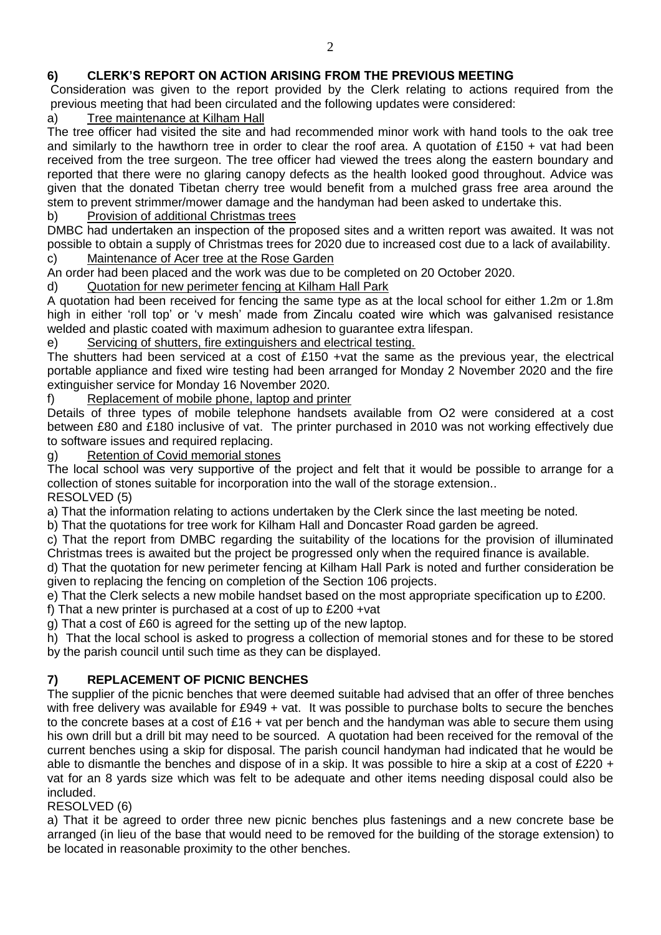## **6) CLERK'S REPORT ON ACTION ARISING FROM THE PREVIOUS MEETING**

Consideration was given to the report provided by the Clerk relating to actions required from the previous meeting that had been circulated and the following updates were considered:

## a) Tree maintenance at Kilham Hall

The tree officer had visited the site and had recommended minor work with hand tools to the oak tree and similarly to the hawthorn tree in order to clear the roof area. A quotation of  $£150 +$  vat had been received from the tree surgeon. The tree officer had viewed the trees along the eastern boundary and reported that there were no glaring canopy defects as the health looked good throughout. Advice was given that the donated Tibetan cherry tree would benefit from a mulched grass free area around the stem to prevent strimmer/mower damage and the handyman had been asked to undertake this.

#### b) Provision of additional Christmas trees

DMBC had undertaken an inspection of the proposed sites and a written report was awaited. It was not possible to obtain a supply of Christmas trees for 2020 due to increased cost due to a lack of availability. c) Maintenance of Acer tree at the Rose Garden

An order had been placed and the work was due to be completed on 20 October 2020.

## d) Quotation for new perimeter fencing at Kilham Hall Park

A quotation had been received for fencing the same type as at the local school for either 1.2m or 1.8m high in either 'roll top' or 'v mesh' made from Zincalu coated wire which was galvanised resistance welded and plastic coated with maximum adhesion to guarantee extra lifespan.

#### e) Servicing of shutters, fire extinguishers and electrical testing.

The shutters had been serviced at a cost of £150 +vat the same as the previous year, the electrical portable appliance and fixed wire testing had been arranged for Monday 2 November 2020 and the fire extinguisher service for Monday 16 November 2020.

f) Replacement of mobile phone, laptop and printer

Details of three types of mobile telephone handsets available from O2 were considered at a cost between £80 and £180 inclusive of vat. The printer purchased in 2010 was not working effectively due to software issues and required replacing.

#### g) Retention of Covid memorial stones

The local school was very supportive of the project and felt that it would be possible to arrange for a collection of stones suitable for incorporation into the wall of the storage extension.. RESOLVED (5)

a) That the information relating to actions undertaken by the Clerk since the last meeting be noted.

b) That the quotations for tree work for Kilham Hall and Doncaster Road garden be agreed.

c) That the report from DMBC regarding the suitability of the locations for the provision of illuminated Christmas trees is awaited but the project be progressed only when the required finance is available.

d) That the quotation for new perimeter fencing at Kilham Hall Park is noted and further consideration be given to replacing the fencing on completion of the Section 106 projects.

e) That the Clerk selects a new mobile handset based on the most appropriate specification up to £200.

f) That a new printer is purchased at a cost of up to £200 +vat

g) That a cost of £60 is agreed for the setting up of the new laptop.

h) That the local school is asked to progress a collection of memorial stones and for these to be stored by the parish council until such time as they can be displayed.

## **7) REPLACEMENT OF PICNIC BENCHES**

The supplier of the picnic benches that were deemed suitable had advised that an offer of three benches with free delivery was available for £949 + vat. It was possible to purchase bolts to secure the benches to the concrete bases at a cost of £16 + vat per bench and the handyman was able to secure them using his own drill but a drill bit may need to be sourced. A quotation had been received for the removal of the current benches using a skip for disposal. The parish council handyman had indicated that he would be able to dismantle the benches and dispose of in a skip. It was possible to hire a skip at a cost of £220 + vat for an 8 yards size which was felt to be adequate and other items needing disposal could also be included.

#### RESOLVED (6)

a) That it be agreed to order three new picnic benches plus fastenings and a new concrete base be arranged (in lieu of the base that would need to be removed for the building of the storage extension) to be located in reasonable proximity to the other benches.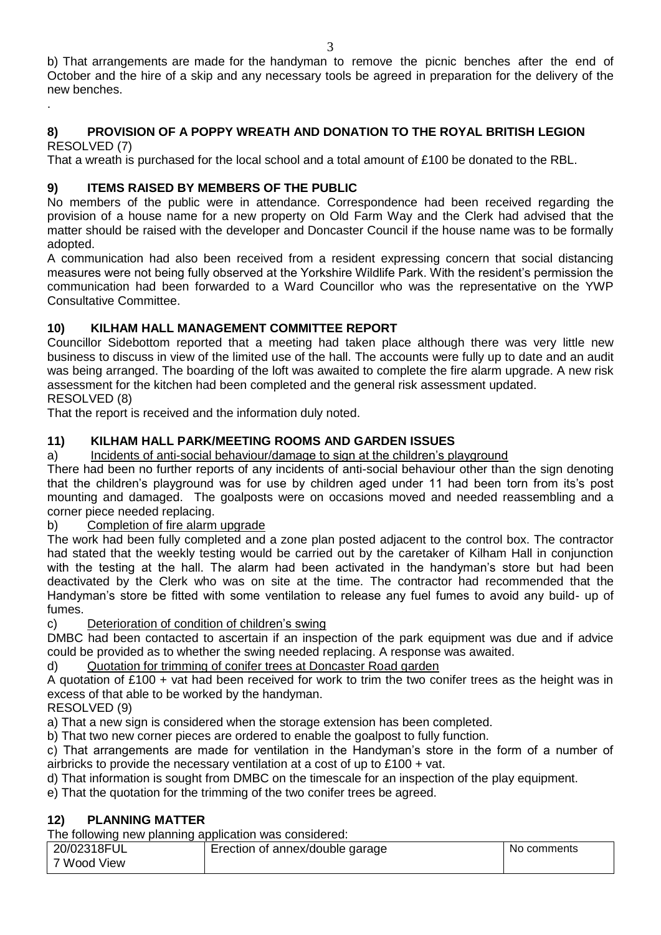3 b) That arrangements are made for the handyman to remove the picnic benches after the end of October and the hire of a skip and any necessary tools be agreed in preparation for the delivery of the new benches. .

# **8) PROVISION OF A POPPY WREATH AND DONATION TO THE ROYAL BRITISH LEGION**

RESOLVED (7)

That a wreath is purchased for the local school and a total amount of £100 be donated to the RBL.

## **9) ITEMS RAISED BY MEMBERS OF THE PUBLIC**

No members of the public were in attendance. Correspondence had been received regarding the provision of a house name for a new property on Old Farm Way and the Clerk had advised that the matter should be raised with the developer and Doncaster Council if the house name was to be formally adopted.

A communication had also been received from a resident expressing concern that social distancing measures were not being fully observed at the Yorkshire Wildlife Park. With the resident's permission the communication had been forwarded to a Ward Councillor who was the representative on the YWP Consultative Committee.

## **10) KILHAM HALL MANAGEMENT COMMITTEE REPORT**

Councillor Sidebottom reported that a meeting had taken place although there was very little new business to discuss in view of the limited use of the hall. The accounts were fully up to date and an audit was being arranged. The boarding of the loft was awaited to complete the fire alarm upgrade. A new risk assessment for the kitchen had been completed and the general risk assessment updated. RESOLVED (8)

That the report is received and the information duly noted.

## **11) KILHAM HALL PARK/MEETING ROOMS AND GARDEN ISSUES**

## a) Incidents of anti-social behaviour/damage to sign at the children's playground

There had been no further reports of any incidents of anti-social behaviour other than the sign denoting that the children's playground was for use by children aged under 11 had been torn from its's post mounting and damaged. The goalposts were on occasions moved and needed reassembling and a corner piece needed replacing.

## b) Completion of fire alarm upgrade

The work had been fully completed and a zone plan posted adjacent to the control box. The contractor had stated that the weekly testing would be carried out by the caretaker of Kilham Hall in conjunction with the testing at the hall. The alarm had been activated in the handyman's store but had been deactivated by the Clerk who was on site at the time. The contractor had recommended that the Handyman's store be fitted with some ventilation to release any fuel fumes to avoid any build- up of fumes.

## c) Deterioration of condition of children's swing

DMBC had been contacted to ascertain if an inspection of the park equipment was due and if advice could be provided as to whether the swing needed replacing. A response was awaited.

## d) Quotation for trimming of conifer trees at Doncaster Road garden

A quotation of £100 + vat had been received for work to trim the two conifer trees as the height was in excess of that able to be worked by the handyman.

## RESOLVED (9)

a) That a new sign is considered when the storage extension has been completed.

b) That two new corner pieces are ordered to enable the goalpost to fully function.

c) That arrangements are made for ventilation in the Handyman's store in the form of a number of airbricks to provide the necessary ventilation at a cost of up to £100 + vat.

d) That information is sought from DMBC on the timescale for an inspection of the play equipment.

e) That the quotation for the trimming of the two conifer trees be agreed.

## **12) PLANNING MATTER**

The following new planning application was considered:

| 20/02318FUL | Erection of annex/double garage | No comments |
|-------------|---------------------------------|-------------|
| 7 Wood View |                                 |             |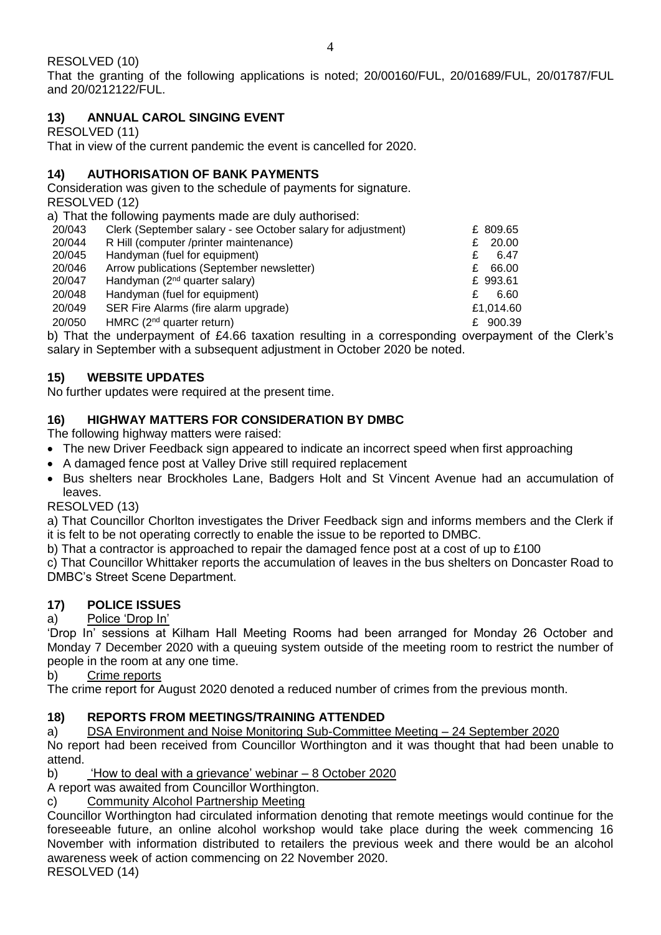That the granting of the following applications is noted; 20/00160/FUL, 20/01689/FUL, 20/01787/FUL and 20/0212122/FUL.

# **13) ANNUAL CAROL SINGING EVENT**

RESOLVED (11)

That in view of the current pandemic the event is cancelled for 2020.

## **14) AUTHORISATION OF BANK PAYMENTS**

Consideration was given to the schedule of payments for signature.

RESOLVED (12)

a) That the following payments made are duly authorised:

| 20/043 | Clerk (September salary - see October salary for adjustment) | £ 809.65   |
|--------|--------------------------------------------------------------|------------|
| 20/044 | R Hill (computer /printer maintenance)                       | 20.00<br>£ |
| 20/045 | Handyman (fuel for equipment)                                | 6.47<br>£  |
| 20/046 | Arrow publications (September newsletter)                    | 66.00<br>£ |
| 20/047 | Handyman (2 <sup>nd</sup> quarter salary)                    | £ 993.61   |
| 20/048 | Handyman (fuel for equipment)                                | 6.60<br>£  |
| 20/049 | SER Fire Alarms (fire alarm upgrade)                         | £1,014.60  |
| 20/050 | HMRC (2 <sup>nd</sup> quarter return)                        | £ 900.39   |
|        |                                                              |            |

b) That the underpayment of £4.66 taxation resulting in a corresponding overpayment of the Clerk's salary in September with a subsequent adjustment in October 2020 be noted.

# **15) WEBSITE UPDATES**

No further updates were required at the present time.

# **16) HIGHWAY MATTERS FOR CONSIDERATION BY DMBC**

The following highway matters were raised:

- The new Driver Feedback sign appeared to indicate an incorrect speed when first approaching
- A damaged fence post at Valley Drive still required replacement
- Bus shelters near Brockholes Lane, Badgers Holt and St Vincent Avenue had an accumulation of leaves.

## RESOLVED (13)

a) That Councillor Chorlton investigates the Driver Feedback sign and informs members and the Clerk if it is felt to be not operating correctly to enable the issue to be reported to DMBC.

b) That a contractor is approached to repair the damaged fence post at a cost of up to £100

c) That Councillor Whittaker reports the accumulation of leaves in the bus shelters on Doncaster Road to DMBC's Street Scene Department.

# **17) POLICE ISSUES**

# a) Police 'Drop In'

'Drop In' sessions at Kilham Hall Meeting Rooms had been arranged for Monday 26 October and Monday 7 December 2020 with a queuing system outside of the meeting room to restrict the number of people in the room at any one time.

b) Crime reports

The crime report for August 2020 denoted a reduced number of crimes from the previous month.

# **18) REPORTS FROM MEETINGS/TRAINING ATTENDED**

a) DSA Environment and Noise Monitoring Sub-Committee Meeting – 24 September 2020

No report had been received from Councillor Worthington and it was thought that had been unable to attend.

b) 'How to deal with a grievance' webinar – 8 October 2020

A report was awaited from Councillor Worthington.

c) Community Alcohol Partnership Meeting

Councillor Worthington had circulated information denoting that remote meetings would continue for the foreseeable future, an online alcohol workshop would take place during the week commencing 16 November with information distributed to retailers the previous week and there would be an alcohol awareness week of action commencing on 22 November 2020.

RESOLVED (14)